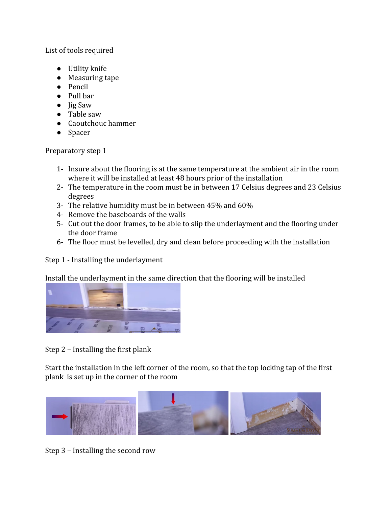List of tools required

- Utility knife
- Measuring tape
- Pencil
- Pull bar
- Jig Saw
- Table saw
- Caoutchouc hammer
- Spacer

Preparatory step 1

- 1- Insure about the flooring is at the same temperature at the ambient air in the room where it will be installed at least 48 hours prior of the installation
- 2- The temperature in the room must be in between 17 Celsius degrees and 23 Celsius degrees
- 3- The relative humidity must be in between 45% and 60%
- 4- Remove the baseboards of the walls
- 5- Cut out the door frames, to be able to slip the underlayment and the flooring under the door frame
- 6- The floor must be levelled, dry and clean before proceeding with the installation

Step 1 - Installing the underlayment

Install the underlayment in the same direction that the flooring will be installed



Step 2 – Installing the first plank

Start the installation in the left corner of the room, so that the top locking tap of the first plank is set up in the corner of the room



Step 3 – Installing the second row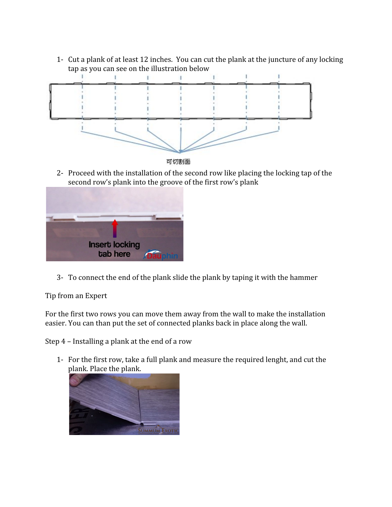1- Cut a plank of at least 12 inches. You can cut the plank at the juncture of any locking tap as you can see on the illustration below



可切割面

2- Proceed with the installation of the second row like placing the locking tap of the second row's plank into the groove of the first row's plank



3- To connect the end of the plank slide the plank by taping it with the hammer

Tip from an Expert

For the first two rows you can move them away from the wall to make the installation easier. You can than put the set of connected planks back in place along the wall.

Step 4 – Installing a plank at the end of a row

1- For the first row, take a full plank and measure the required lenght, and cut the plank. Place the plank.

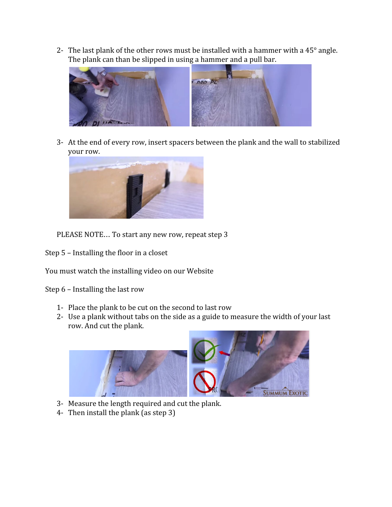2- The last plank of the other rows must be installed with a hammer with a  $45^{\circ}$  angle. The plank can than be slipped in using a hammer and a pull bar.



3- At the end of every row, insert spacers between the plank and the wall to stabilized your row.



PLEASE NOTE… To start any new row, repeat step 3

Step 5 – Installing the floor in a closet

You must watch the installing video on our Website

Step 6 – Installing the last row

- 1- Place the plank to be cut on the second to last row
- 2- Use a plank without tabs on the side as a guide to measure the width of your last row. And cut the plank.



- 3- Measure the length required and cut the plank.
- 4- Then install the plank (as step 3)